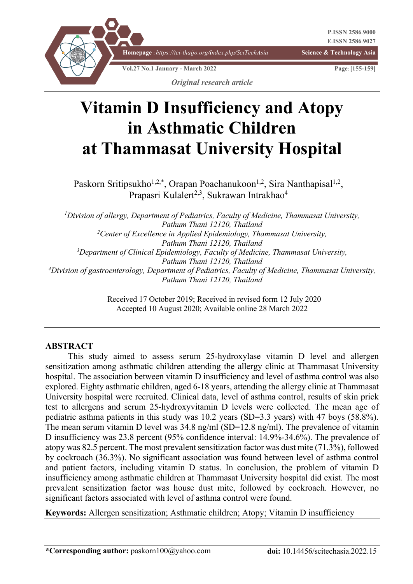

# **Vitamin D Insufficiency and Atopy in Asthmatic Children at Thammasat University Hospital**

Paskorn Sritipsukho<sup>1,2,\*</sup>, Orapan Poachanukoon<sup>1,2</sup>, Sira Nanthapisal<sup>1,2</sup>, Prapasri Kulalert<sup>2,3</sup>, Sukrawan Intrakhao<sup>4</sup>

*1 Division of allergy, Department of Pediatrics, Faculty of Medicine, Thammasat University, Pathum Thani 12120, Thailand 2 Center of Excellence in Applied Epidemiology, Thammasat University, Pathum Thani 12120, Thailand 3 Department of Clinical Epidemiology, Faculty of Medicine, Thammasat University, Pathum Thani 12120, Thailand 4 Division of gastroenterology, Department of Pediatrics, Faculty of Medicine, Thammasat University, Pathum Thani 12120, Thailand*

> Received 17 October 2019; Received in revised form 12 July 2020 Accepted 10 August 2020; Available online 28 March 2022

#### **ABSTRACT**

This study aimed to assess serum 25-hydroxylase vitamin D level and allergen sensitization among asthmatic children attending the allergy clinic at Thammasat University hospital. The association between vitamin D insufficiency and level of asthma control was also explored. Eighty asthmatic children, aged 6-18 years, attending the allergy clinic at Thammasat University hospital were recruited. Clinical data, level of asthma control, results of skin prick test to allergens and serum 25-hydroxyvitamin D levels were collected. The mean age of pediatric asthma patients in this study was 10.2 years (SD=3.3 years) with 47 boys (58.8%). The mean serum vitamin D level was  $34.8 \text{ ng/ml}$  (SD=12.8 ng/ml). The prevalence of vitamin D insufficiency was 23.8 percent (95% confidence interval: 14.9%-34.6%). The prevalence of atopy was 82.5 percent. The most prevalent sensitization factor was dust mite (71.3%), followed by cockroach (36.3%). No significant association was found between level of asthma control and patient factors, including vitamin D status. In conclusion, the problem of vitamin D insufficiency among asthmatic children at Thammasat University hospital did exist. The most prevalent sensitization factor was house dust mite, followed by cockroach. However, no significant factors associated with level of asthma control were found.

**Keywords:** Allergen sensitization; Asthmatic children; Atopy; Vitamin D insufficiency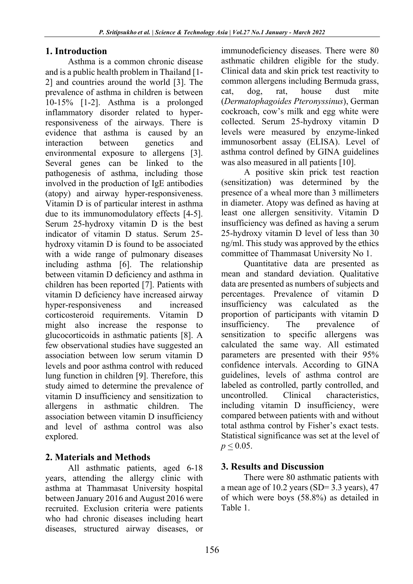## **1. Introduction**

Asthma is a common chronic disease and is a public health problem in Thailand [1- 2] and countries around the world [3]. The prevalence of asthma in children is between 10-15% [1-2]. Asthma is a prolonged inflammatory disorder related to hyperresponsiveness of the airways. There is evidence that asthma is caused by an interaction between genetics and environmental exposure to allergens [3]. Several genes can be linked to the pathogenesis of asthma, including those involved in the production of IgE antibodies (atopy) and airway hyper-responsiveness. Vitamin D is of particular interest in asthma due to its immunomodulatory effects [4-5]. Serum 25-hydroxy vitamin D is the best indicator of vitamin D status. Serum 25 hydroxy vitamin D is found to be associated with a wide range of pulmonary diseases including asthma [6]. The relationship between vitamin D deficiency and asthma in children has been reported [7]. Patients with vitamin D deficiency have increased airway hyper-responsiveness and increased corticosteroid requirements. Vitamin D might also increase the response to glucocorticoids in asthmatic patients [8]. A few observational studies have suggested an association between low serum vitamin D levels and poor asthma control with reduced lung function in children [9]. Therefore, this study aimed to determine the prevalence of vitamin D insufficiency and sensitization to allergens in asthmatic children. The association between vitamin D insufficiency and level of asthma control was also explored.

# **2. Materials and Methods**

All asthmatic patients, aged 6-18 years, attending the allergy clinic with asthma at Thammasat University hospital between January 2016 and August 2016 were recruited. Exclusion criteria were patients who had chronic diseases including heart diseases, structured airway diseases, or immunodeficiency diseases. There were 80 asthmatic children eligible for the study. Clinical data and skin prick test reactivity to common allergens including Bermuda grass, cat, dog, rat, house dust mite (*Dermatophagoides Pteronyssinus*), German cockroach, cow's milk and egg white were collected. Serum 25-hydroxy vitamin D levels were measured by enzyme-linked immunosorbent assay (ELISA). Level of asthma control defined by GINA guidelines was also measured in all patients [10].

A positive skin prick test reaction (sensitization) was determined by the presence of a wheal more than 3 millimeters in diameter. Atopy was defined as having at least one allergen sensitivity. Vitamin D insufficiency was defined as having a serum 25-hydroxy vitamin D level of less than 30 ng/ml. This study was approved by the ethics committee of Thammasat University No 1.

Quantitative data are presented as mean and standard deviation. Qualitative data are presented as numbers of subjects and percentages. Prevalence of vitamin D insufficiency was calculated as the proportion of participants with vitamin D insufficiency. The prevalence of sensitization to specific allergens was calculated the same way. All estimated parameters are presented with their 95% confidence intervals. According to GINA guidelines, levels of asthma control are labeled as controlled, partly controlled, and uncontrolled. Clinical characteristics, including vitamin D insufficiency, were compared between patients with and without total asthma control by Fisher's exact tests. Statistical significance was set at the level of  $p \le 0.05$ .

# **3. Results and Discussion**

There were 80 asthmatic patients with a mean age of 10.2 years (SD= 3.3 years), 47 of which were boys (58.8%) as detailed in Table 1.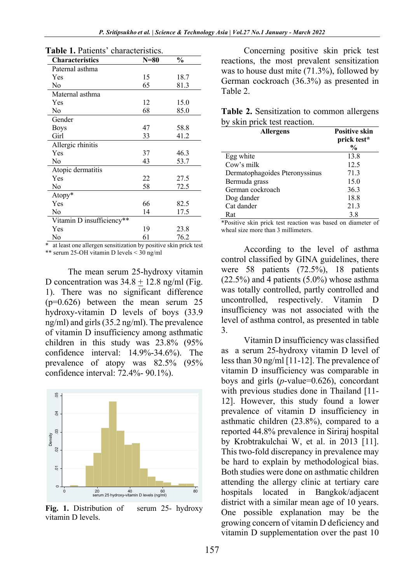| <b>Characteristics</b>    | $N=80$ | $\frac{0}{0}$ |
|---------------------------|--------|---------------|
| Paternal asthma           |        |               |
| Yes                       | 15     | 18.7          |
| No                        | 65     | 81.3          |
| Maternal asthma           |        |               |
| Yes                       | 12     | 15.0          |
| No                        | 68     | 85.0          |
| Gender                    |        |               |
| <b>Boys</b>               | 47     | 58.8          |
| Girl                      | 33     | 41.2          |
| Allergic rhinitis         |        |               |
| Yes                       | 37     | 46.3          |
| No                        | 43     | 53.7          |
| Atopic dermatitis         |        |               |
| Yes                       | 22     | 27.5          |
| No                        | 58     | 72.5          |
| Atopy*                    |        |               |
| Yes                       | 66     | 82.5          |
| No                        | 14     | 17.5          |
| Vitamin D insufficiency** |        |               |
| Yes                       | 19     | 23.8          |
| No                        | 61     | 76.2          |

**Table 1.** Patients' characteristics.

\* at least one allergen sensitization by positive skin prick test \*\* serum 25-OH vitamin D levels < 30 ng/ml

The mean serum 25-hydroxy vitamin D concentration was  $34.8 + 12.8$  ng/ml (Fig. 1). There was no significant difference (p=0.626) between the mean serum 25 hydroxy-vitamin D levels of boys (33.9 ng/ml) and girls (35.2 ng/ml). The prevalence of vitamin D insufficiency among asthmatic children in this study was 23.8% (95% confidence interval: 14.9%-34.6%). The prevalence of atopy was 82.5% (95% confidence interval: 72.4%- 90.1%).



**Fig. 1.** Distribution of serum 25- hydroxy vitamin D levels.

Concerning positive skin prick test reactions, the most prevalent sensitization was to house dust mite (71.3%), followed by German cockroach (36.3%) as presented in Table 2.

**Table 2.** Sensitization to common allergens by skin prick test reaction.

| <b>Allergens</b>               | <b>Positive skin</b><br>prick test* |
|--------------------------------|-------------------------------------|
|                                | $\frac{6}{9}$                       |
| Egg white                      | 13.8                                |
| Cow's milk                     | 12.5                                |
| Dermatophagoides Pteronyssinus | 71.3                                |
| Bermuda grass                  | 15.0                                |
| German cockroach               | 36.3                                |
| Dog dander                     | 18.8                                |
| Cat dander                     | 21.3                                |
| Rat                            | 3.8                                 |

\*Positive skin prick test reaction was based on diameter of wheal size more than 3 millimeters.

According to the level of asthma control classified by GINA guidelines, there were 58 patients (72.5%), 18 patients  $(22.5%)$  and 4 patients  $(5.0%)$  whose asthma was totally controlled, partly controlled and uncontrolled, respectively. Vitamin D insufficiency was not associated with the level of asthma control, as presented in table 3.

Vitamin D insufficiency was classified as a serum 25-hydroxy vitamin D level of less than 30 ng/ml [11-12]. The prevalence of vitamin D insufficiency was comparable in boys and girls (*p*-value=0.626), concordant with previous studies done in Thailand [11- 12]. However, this study found a lower prevalence of vitamin D insufficiency in asthmatic children (23.8%), compared to a reported 44.8% prevalence in Siriraj hospital by Krobtrakulchai W, et al. in 2013 [11]. This two-fold discrepancy in prevalence may be hard to explain by methodological bias. Both studies were done on asthmatic children attending the allergy clinic at tertiary care hospitals located in Bangkok/adjacent district with a similar mean age of 10 years. One possible explanation may be the growing concern of vitamin D deficiency and vitamin D supplementation over the past 10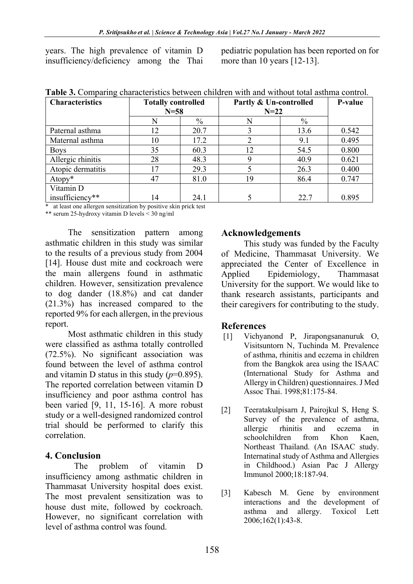years. The high prevalence of vitamin D insufficiency/deficiency among the Thai

pediatric population has been reported on for more than 10 years [12-13].

| <b>Characteristics</b> | <b>Totally controlled</b> |      | Partly & Un-controlled |               | P-value |
|------------------------|---------------------------|------|------------------------|---------------|---------|
|                        | $N = 58$                  |      | $N = 22$               |               |         |
|                        | N                         | $\%$ | N                      | $\frac{0}{0}$ |         |
| Paternal asthma        | 12                        | 20.7 |                        | 13.6          | 0.542   |
| Maternal asthma        | 10                        | 17.2 | ↑                      | 9.1           | 0.495   |
| <b>Boys</b>            | 35                        | 60.3 | 12                     | 54.5          | 0.800   |
| Allergic rhinitis      | 28                        | 48.3 | 9                      | 40.9          | 0.621   |
| Atopic dermatitis      | ۱7                        | 29.3 |                        | 26.3          | 0.400   |
| Atopy*                 | 47                        | 81.0 | 19                     | 86.4          | 0.747   |
| Vitamin D              |                           |      |                        |               |         |
| insufficiency**        | 14                        | 24.1 |                        | 22.7          | 0.895   |

\* at least one allergen sensitization by positive skin prick test

\*\* serum 25-hydroxy vitamin D levels < 30 ng/ml

The sensitization pattern among asthmatic children in this study was similar to the results of a previous study from 2004 [14]. House dust mite and cockroach were the main allergens found in asthmatic children. However, sensitization prevalence to dog dander (18.8%) and cat dander (21.3%) has increased compared to the reported 9% for each allergen, in the previous report.

Most asthmatic children in this study were classified as asthma totally controlled (72.5%). No significant association was found between the level of asthma control and vitamin D status in this study  $(p=0.895)$ . The reported correlation between vitamin D insufficiency and poor asthma control has been varied [9, 11, 15-16]. A more robust study or a well-designed randomized control trial should be performed to clarify this correlation.

## **4. Conclusion**

The problem of vitamin D insufficiency among asthmatic children in Thammasat University hospital does exist. The most prevalent sensitization was to house dust mite, followed by cockroach. However, no significant correlation with level of asthma control was found.

## **Acknowledgements**

This study was funded by the Faculty of Medicine, Thammasat University. We appreciated the Center of Excellence in Applied Epidemiology, Thammasat University for the support. We would like to thank research assistants, participants and their caregivers for contributing to the study.

## **References**

- [1] Vichyanond P, Jirapongsananuruk O, Visitsuntorn N, Tuchinda M. Prevalence of asthma, rhinitis and eczema in children from the Bangkok area using the ISAAC (International Study for Asthma and Allergy in Children) questionnaires. J Med Assoc Thai. 1998;81:175-84.
- [2] Teeratakulpisarn J, Pairojkul S, Heng S. Survey of the prevalence of asthma, allergic rhinitis and eczema in schoolchildren from Khon Kaen, Northeast Thailand. (An ISAAC study. Internatinal study of Asthma and Allergies in Childhood.) Asian Pac J Allergy Immunol 2000;18:187-94.
- [3] Kabesch M. Gene by environment interactions and the development of asthma and allergy. Toxicol Lett 2006;162(1):43-8.